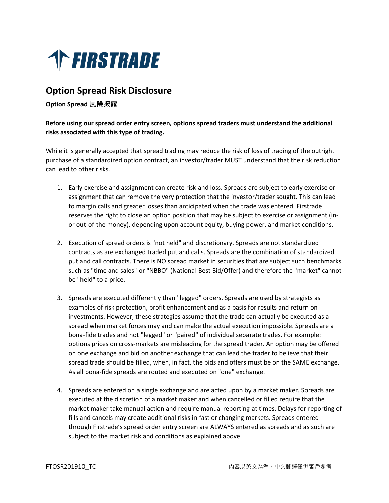

# **Option Spread Risk Disclosure**

#### **Option Spread 風險披露**

### **Before using our spread order entry screen, options spread traders must understand the additional risks associated with this type of trading.**

While it is generally accepted that spread trading may reduce the risk of loss of trading of the outright purchase of a standardized option contract, an investor/trader MUST understand that the risk reduction can lead to other risks.

- 1. Early exercise and assignment can create risk and loss. Spreads are subject to early exercise or assignment that can remove the very protection that the investor/trader sought. This can lead to margin calls and greater losses than anticipated when the trade was entered. Firstrade reserves the right to close an option position that may be subject to exercise or assignment (inor out-of-the money), depending upon account equity, buying power, and market conditions.
- 2. Execution of spread orders is "not held" and discretionary. Spreads are not standardized contracts as are exchanged traded put and calls. Spreads are the combination of standardized put and call contracts. There is NO spread market in securities that are subject such benchmarks such as "time and sales" or "NBBO" (National Best Bid/Offer) and therefore the "market" cannot be "held" to a price.
- 3. Spreads are executed differently than "legged" orders. Spreads are used by strategists as examples of risk protection, profit enhancement and as a basis for results and return on investments. However, these strategies assume that the trade can actually be executed as a spread when market forces may and can make the actual execution impossible. Spreads are a bona-fide trades and not "legged" or "paired" of individual separate trades. For example: options prices on cross-markets are misleading for the spread trader. An option may be offered on one exchange and bid on another exchange that can lead the trader to believe that their spread trade should be filled, when, in fact, the bids and offers must be on the SAME exchange. As all bona-fide spreads are routed and executed on "one" exchange.
- 4. Spreads are entered on a single exchange and are acted upon by a market maker. Spreads are executed at the discretion of a market maker and when cancelled or filled require that the market maker take manual action and require manual reporting at times. Delays for reporting of fills and cancels may create additional risks in fast or changing markets. Spreads entered through Firstrade's spread order entry screen are ALWAYS entered as spreads and as such are subject to the market risk and conditions as explained above.